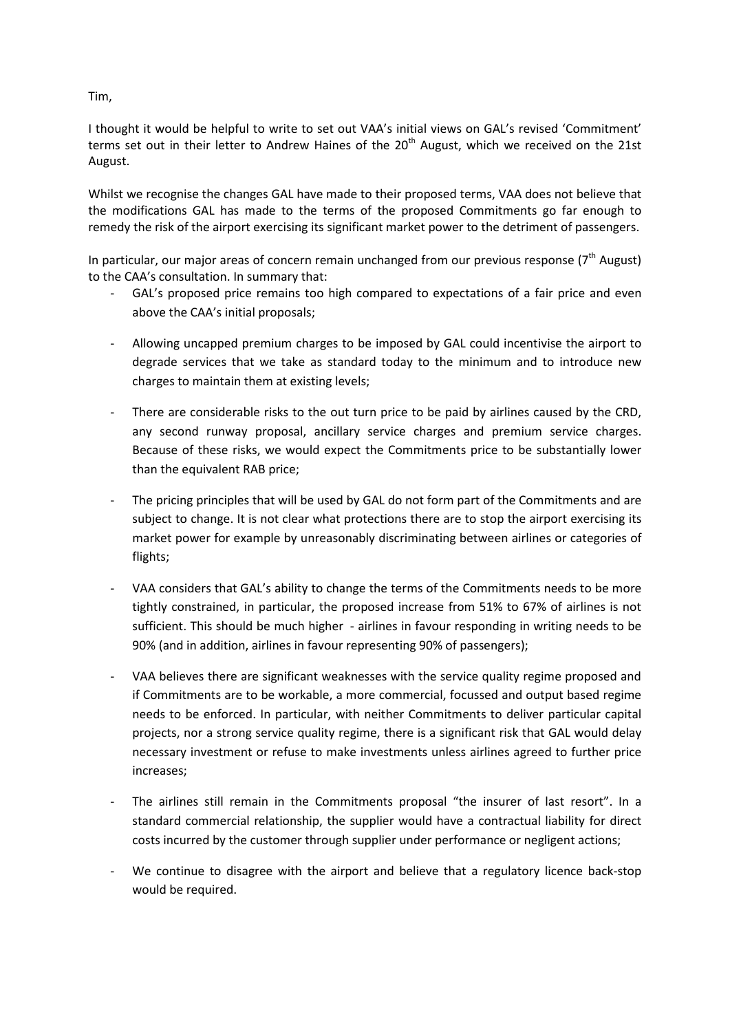Tim,

I thought it would be helpful to write to set out VAA's initial views on GAL's revised 'Commitment' terms set out in their letter to Andrew Haines of the  $20<sup>th</sup>$  August, which we received on the 21st August.

Whilst we recognise the changes GAL have made to their proposed terms, VAA does not believe that the modifications GAL has made to the terms of the proposed Commitments go far enough to remedy the risk of the airport exercising its significant market power to the detriment of passengers.

In particular, our major areas of concern remain unchanged from our previous response ( $7<sup>th</sup>$  August) to the CAA's consultation. In summary that:

- GAL's proposed price remains too high compared to expectations of a fair price and even above the CAA's initial proposals;
- Allowing uncapped premium charges to be imposed by GAL could incentivise the airport to degrade services that we take as standard today to the minimum and to introduce new charges to maintain them at existing levels;
- There are considerable risks to the out turn price to be paid by airlines caused by the CRD. any second runway proposal, ancillary service charges and premium service charges. Because of these risks, we would expect the Commitments price to be substantially lower than the equivalent RAB price;
- The pricing principles that will be used by GAL do not form part of the Commitments and are subject to change. It is not clear what protections there are to stop the airport exercising its market power for example by unreasonably discriminating between airlines or categories of flights;
- VAA considers that GAL's ability to change the terms of the Commitments needs to be more tightly constrained, in particular, the proposed increase from 51% to 67% of airlines is not sufficient. This should be much higher - airlines in favour responding in writing needs to be 90% (and in addition, airlines in favour representing 90% of passengers);
- VAA believes there are significant weaknesses with the service quality regime proposed and if Commitments are to be workable, a more commercial, focussed and output based regime needs to be enforced. In particular, with neither Commitments to deliver particular capital projects, nor a strong service quality regime, there is a significant risk that GAL would delay necessary investment or refuse to make investments unless airlines agreed to further price increases;
- The airlines still remain in the Commitments proposal "the insurer of last resort". In a standard commercial relationship, the supplier would have a contractual liability for direct costs incurred by the customer through supplier under performance or negligent actions;
- We continue to disagree with the airport and believe that a regulatory licence back-stop would be required.